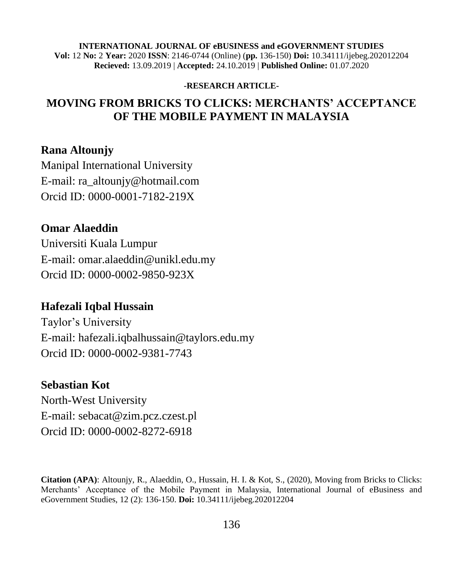#### **INTERNATIONAL JOURNAL OF eBUSINESS and eGOVERNMENT STUDIES Vol:** 12 **No:** 2 **Year:** 2020 **ISSN**: 2146-0744 (Online) (**pp.** 136-150) **Doi:** 10.34111/ijebeg.202012204 **Recieved:** 13.09.2019 | **Accepted:** 24.10.2019 | **Published Online:** 01.07.2020

#### **-RESEARCH ARTICLE-**

## **MOVING FROM BRICKS TO CLICKS: MERCHANTS' ACCEPTANCE OF THE MOBILE PAYMENT IN MALAYSIA**

### **Rana Altounjy**

Manipal International University E-mail: ra\_altounjy@hotmail.com Orcid ID: 0000-0001-7182-219X

### **Omar Alaeddin**

Universiti Kuala Lumpur E-mail: omar.alaeddin@unikl.edu.my Orcid ID: 0000-0002-9850-923X

### **Hafezali Iqbal Hussain**

Taylor's University E-mail: hafezali.iqbalhussain@taylors.edu.my Orcid ID: 0000-0002-9381-7743

### **Sebastian Kot**

North-West University E-mail: sebacat@zim.pcz.czest.pl Orcid ID: 0000-0002-8272-6918

**Citation (APA)**: Altounjy, R., Alaeddin, O., Hussain, H. I. & Kot, S., (2020), Moving from Bricks to Clicks: Merchants' Acceptance of the Mobile Payment in Malaysia, International Journal of eBusiness and eGovernment Studies, 12 (2): 136-150. **Doi:** 10.34111/ijebeg.202012204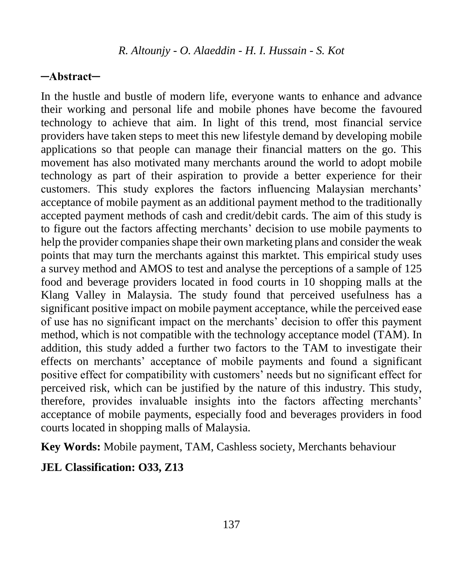### **─Abstract─**

In the hustle and bustle of modern life, everyone wants to enhance and advance their working and personal life and mobile phones have become the favoured technology to achieve that aim. In light of this trend, most financial service providers have taken steps to meet this new lifestyle demand by developing mobile applications so that people can manage their financial matters on the go. This movement has also motivated many merchants around the world to adopt mobile technology as part of their aspiration to provide a better experience for their customers. This study explores the factors influencing Malaysian merchants' acceptance of mobile payment as an additional payment method to the traditionally accepted payment methods of cash and credit/debit cards. The aim of this study is to figure out the factors affecting merchants' decision to use mobile payments to help the provider companies shape their own marketing plans and consider the weak points that may turn the merchants against this marktet. This empirical study uses a survey method and AMOS to test and analyse the perceptions of a sample of 125 food and beverage providers located in food courts in 10 shopping malls at the Klang Valley in Malaysia. The study found that perceived usefulness has a significant positive impact on mobile payment acceptance, while the perceived ease of use has no significant impact on the merchants' decision to offer this payment method, which is not compatible with the technology acceptance model (TAM). In addition, this study added a further two factors to the TAM to investigate their effects on merchants' acceptance of mobile payments and found a significant positive effect for compatibility with customers' needs but no significant effect for perceived risk, which can be justified by the nature of this industry. This study, therefore, provides invaluable insights into the factors affecting merchants' acceptance of mobile payments, especially food and beverages providers in food courts located in shopping malls of Malaysia.

**Key Words:** Mobile payment, TAM, Cashless society, Merchants behaviour

### **JEL Classification: O33, Z13**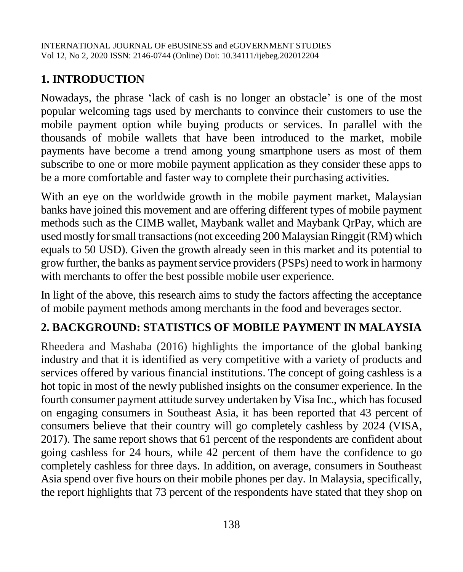# **1. INTRODUCTION**

Nowadays, the phrase 'lack of cash is no longer an obstacle' is one of the most popular welcoming tags used by merchants to convince their customers to use the mobile payment option while buying products or services. In parallel with the thousands of mobile wallets that have been introduced to the market, mobile payments have become a trend among young smartphone users as most of them subscribe to one or more mobile payment application as they consider these apps to be a more comfortable and faster way to complete their purchasing activities.

With an eye on the worldwide growth in the mobile payment market, Malaysian banks have joined this movement and are offering different types of mobile payment methods such as the CIMB wallet, Maybank wallet and Maybank QrPay, which are used mostly for small transactions (not exceeding 200 Malaysian Ringgit (RM) which equals to 50 USD). Given the growth already seen in this market and its potential to grow further, the banks as payment service providers (PSPs) need to work in harmony with merchants to offer the best possible mobile user experience.

In light of the above, this research aims to study the factors affecting the acceptance of mobile payment methods among merchants in the food and beverages sector.

# **2. BACKGROUND: STATISTICS OF MOBILE PAYMENT IN MALAYSIA**

Rheedera and Mashaba (2016) highlights the importance of the global banking industry and that it is identified as very competitive with a variety of products and services offered by various financial institutions. The concept of going cashless is a hot topic in most of the newly published insights on the consumer experience. In the fourth consumer payment attitude survey undertaken by Visa Inc., which has focused on engaging consumers in Southeast Asia, it has been reported that 43 percent of consumers believe that their country will go completely cashless by 2024 (VISA, 2017). The same report shows that 61 percent of the respondents are confident about going cashless for 24 hours, while 42 percent of them have the confidence to go completely cashless for three days. In addition, on average, consumers in Southeast Asia spend over five hours on their mobile phones per day. In Malaysia, specifically, the report highlights that 73 percent of the respondents have stated that they shop on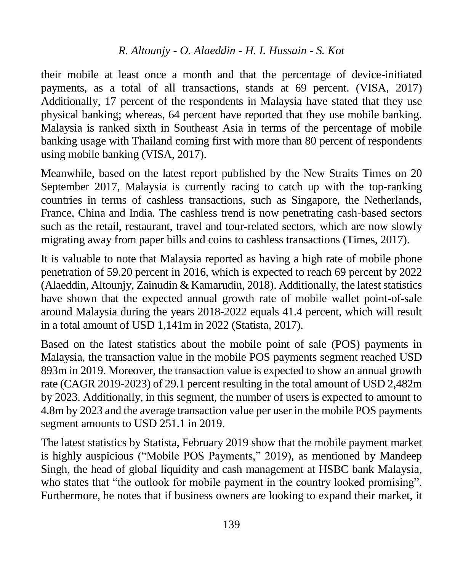their mobile at least once a month and that the percentage of device-initiated payments, as a total of all transactions, stands at 69 percent. (VISA, 2017) Additionally, 17 percent of the respondents in Malaysia have stated that they use physical banking; whereas, 64 percent have reported that they use mobile banking. Malaysia is ranked sixth in Southeast Asia in terms of the percentage of mobile banking usage with Thailand coming first with more than 80 percent of respondents using mobile banking (VISA, 2017).

Meanwhile, based on the latest report published by the New Straits Times on 20 September 2017, Malaysia is currently racing to catch up with the top-ranking countries in terms of cashless transactions, such as Singapore, the Netherlands, France, China and India. The cashless trend is now penetrating cash-based sectors such as the retail, restaurant, travel and tour-related sectors, which are now slowly migrating away from paper bills and coins to cashless transactions (Times, 2017).

It is valuable to note that Malaysia reported as having a high rate of mobile phone penetration of 59.20 percent in 2016, which is expected to reach 69 percent by 2022 (Alaeddin, Altounjy, Zainudin & Kamarudin, 2018). Additionally, the latest statistics have shown that the expected annual growth rate of mobile wallet point-of-sale around Malaysia during the years 2018-2022 equals 41.4 percent, which will result in a total amount of USD 1,141m in 2022 (Statista, 2017).

Based on the latest statistics about the mobile point of sale (POS) payments in Malaysia, the transaction value in the mobile POS payments segment reached USD 893m in 2019. Moreover, the transaction value is expected to show an annual growth rate (CAGR 2019-2023) of 29.1 percent resulting in the total amount of USD 2,482m by 2023. Additionally, in this segment, the number of users is expected to amount to 4.8m by 2023 and the average transaction value per user in the mobile POS payments segment amounts to USD 251.1 in 2019.

The latest statistics by Statista, February 2019 show that the mobile payment market is highly auspicious ("Mobile POS Payments," 2019), as mentioned by Mandeep Singh, the head of global liquidity and cash management at HSBC bank Malaysia, who states that "the outlook for mobile payment in the country looked promising". Furthermore, he notes that if business owners are looking to expand their market, it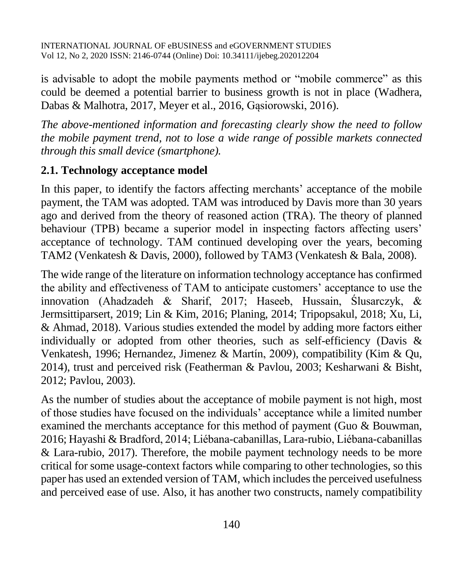is advisable to adopt the mobile payments method or "mobile commerce" as this could be deemed a potential barrier to business growth is not in place (Wadhera, Dabas & Malhotra, 2017, Meyer et al., 2016, Gąsiorowski, 2016).

*The above-mentioned information and forecasting clearly show the need to follow the mobile payment trend, not to lose a wide range of possible markets connected through this small device (smartphone).*

### **2.1. Technology acceptance model**

In this paper, to identify the factors affecting merchants' acceptance of the mobile payment, the TAM was adopted. TAM was introduced by Davis more than 30 years ago and derived from the theory of reasoned action (TRA). The theory of planned behaviour (TPB) became a superior model in inspecting factors affecting users' acceptance of technology. TAM continued developing over the years, becoming TAM2 (Venkatesh & Davis, 2000), followed by TAM3 (Venkatesh & Bala, 2008).

The wide range of the literature on information technology acceptance has confirmed the ability and effectiveness of TAM to anticipate customers' acceptance to use the innovation (Ahadzadeh & Sharif, 2017; Haseeb, Hussain, Ślusarczyk, & Jermsittiparsert, 2019; Lin & Kim, 2016; Planing, 2014; Tripopsakul, 2018; Xu, Li, & Ahmad, 2018). Various studies extended the model by adding more factors either individually or adopted from other theories, such as self-efficiency (Davis & Venkatesh, 1996; Hernandez, Jimenez & Martín, 2009), compatibility (Kim & Qu, 2014), trust and perceived risk (Featherman & Pavlou, 2003; Kesharwani & Bisht, 2012; Pavlou, 2003).

As the number of studies about the acceptance of mobile payment is not high, most of those studies have focused on the individuals' acceptance while a limited number examined the merchants acceptance for this method of payment (Guo & Bouwman, 2016; Hayashi & Bradford, 2014; Liébana-cabanillas, Lara-rubio, Liébana-cabanillas & Lara-rubio, 2017). Therefore, the mobile payment technology needs to be more critical for some usage-context factors while comparing to other technologies, so this paper has used an extended version of TAM, which includes the perceived usefulness and perceived ease of use. Also, it has another two constructs, namely compatibility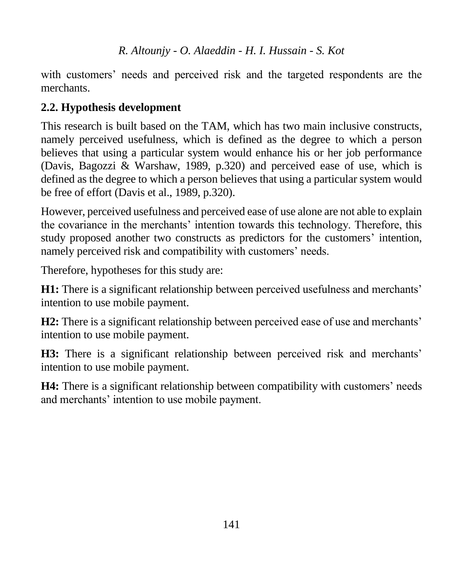with customers' needs and perceived risk and the targeted respondents are the merchants.

# **2.2. Hypothesis development**

This research is built based on the TAM, which has two main inclusive constructs, namely perceived usefulness, which is defined as the degree to which a person believes that using a particular system would enhance his or her job performance (Davis, Bagozzi & Warshaw, 1989, p.320) and perceived ease of use, which is defined as the degree to which a person believes that using a particular system would be free of effort (Davis et al., 1989, p.320).

However, perceived usefulness and perceived ease of use alone are not able to explain the covariance in the merchants' intention towards this technology. Therefore, this study proposed another two constructs as predictors for the customers' intention, namely perceived risk and compatibility with customers' needs.

Therefore, hypotheses for this study are:

**H1:** There is a significant relationship between perceived usefulness and merchants' intention to use mobile payment.

**H2:** There is a significant relationship between perceived ease of use and merchants' intention to use mobile payment.

**H3:** There is a significant relationship between perceived risk and merchants' intention to use mobile payment.

**H4:** There is a significant relationship between compatibility with customers' needs and merchants' intention to use mobile payment.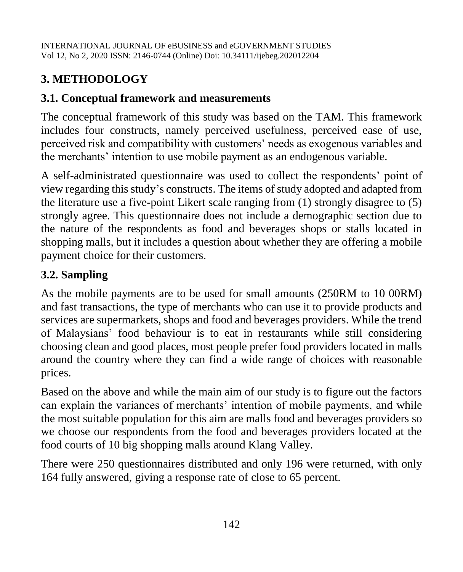# **3. METHODOLOGY**

# **3.1. Conceptual framework and measurements**

The conceptual framework of this study was based on the TAM. This framework includes four constructs, namely perceived usefulness, perceived ease of use, perceived risk and compatibility with customers' needs as exogenous variables and the merchants' intention to use mobile payment as an endogenous variable.

A self-administrated questionnaire was used to collect the respondents' point of view regarding this study's constructs. The items of study adopted and adapted from the literature use a five-point Likert scale ranging from (1) strongly disagree to (5) strongly agree. This questionnaire does not include a demographic section due to the nature of the respondents as food and beverages shops or stalls located in shopping malls, but it includes a question about whether they are offering a mobile payment choice for their customers.

# **3.2. Sampling**

As the mobile payments are to be used for small amounts (250RM to 10 00RM) and fast transactions, the type of merchants who can use it to provide products and services are supermarkets, shops and food and beverages providers. While the trend of Malaysians' food behaviour is to eat in restaurants while still considering choosing clean and good places, most people prefer food providers located in malls around the country where they can find a wide range of choices with reasonable prices.

Based on the above and while the main aim of our study is to figure out the factors can explain the variances of merchants' intention of mobile payments, and while the most suitable population for this aim are malls food and beverages providers so we choose our respondents from the food and beverages providers located at the food courts of 10 big shopping malls around Klang Valley.

There were 250 questionnaires distributed and only 196 were returned, with only 164 fully answered, giving a response rate of close to 65 percent.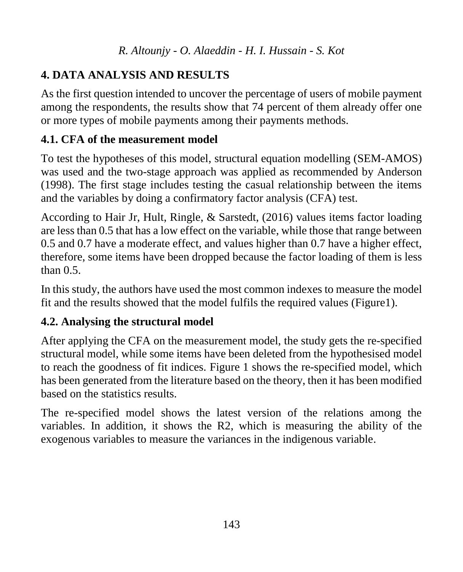# **4. DATA ANALYSIS AND RESULTS**

As the first question intended to uncover the percentage of users of mobile payment among the respondents, the results show that 74 percent of them already offer one or more types of mobile payments among their payments methods.

# **4.1. CFA of the measurement model**

To test the hypotheses of this model, structural equation modelling (SEM-AMOS) was used and the two-stage approach was applied as recommended by Anderson (1998). The first stage includes testing the casual relationship between the items and the variables by doing a confirmatory factor analysis (CFA) test.

According to Hair Jr, Hult, Ringle, & Sarstedt, (2016) values items factor loading are less than 0.5 that has a low effect on the variable, while those that range between 0.5 and 0.7 have a moderate effect, and values higher than 0.7 have a higher effect, therefore, some items have been dropped because the factor loading of them is less than  $0.5$ 

In this study, the authors have used the most common indexes to measure the model fit and the results showed that the model fulfils the required values (Figure1).

# **4.2. Analysing the structural model**

After applying the CFA on the measurement model, the study gets the re-specified structural model, while some items have been deleted from the hypothesised model to reach the goodness of fit indices. Figure 1 shows the re-specified model, which has been generated from the literature based on the theory, then it has been modified based on the statistics results.

The re-specified model shows the latest version of the relations among the variables. In addition, it shows the R2, which is measuring the ability of the exogenous variables to measure the variances in the indigenous variable.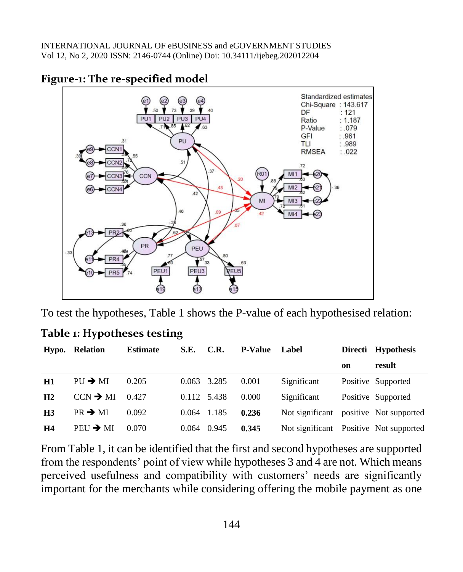

### **Figure-1: The re-specified model**

To test the hypotheses, Table 1 shows the P-value of each hypothesised relation:

|                | Hypo. Relation       | <b>Estimate</b> | S.E.        | C.R.  | <b>P-Value</b> | Label                                  |    | Directi Hypothesis |
|----------------|----------------------|-----------------|-------------|-------|----------------|----------------------------------------|----|--------------------|
|                |                      |                 |             |       |                |                                        | on | result             |
| H1             | $PU \rightarrow MI$  | 0.205           | 0.063       | 3.285 | 0.001          | Significant                            |    | Positive Supported |
| H2             | $CCN \rightarrow MI$ | 0.427           | 0.112 5.438 |       | 0.000          | Significant                            |    | Positive Supported |
| H <sub>3</sub> | $PR \rightarrow MI$  | 0.092           | 0.064       | 1.185 | 0.236          | Not significant positive Not supported |    |                    |
| H4             | $PEU \rightarrow MI$ | 0.070           | 0.064       | 0.945 | 0.345          | Not significant Positive Not supported |    |                    |

**Table 1: Hypotheses testing**

From Table 1, it can be identified that the first and second hypotheses are supported from the respondents' point of view while hypotheses 3 and 4 are not. Which means perceived usefulness and compatibility with customers' needs are significantly important for the merchants while considering offering the mobile payment as one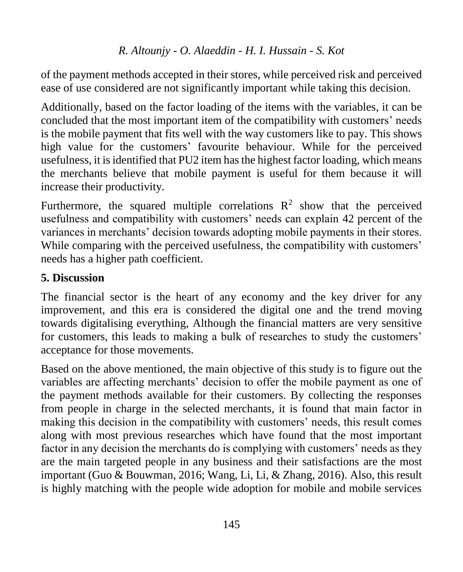of the payment methods accepted in their stores, while perceived risk and perceived ease of use considered are not significantly important while taking this decision.

Additionally, based on the factor loading of the items with the variables, it can be concluded that the most important item of the compatibility with customers' needs is the mobile payment that fits well with the way customers like to pay. This shows high value for the customers' favourite behaviour. While for the perceived usefulness, it is identified that PU2 item has the highest factor loading, which means the merchants believe that mobile payment is useful for them because it will increase their productivity.

Furthermore, the squared multiple correlations  $\mathbb{R}^2$  show that the perceived usefulness and compatibility with customers' needs can explain 42 percent of the variances in merchants' decision towards adopting mobile payments in their stores. While comparing with the perceived usefulness, the compatibility with customers' needs has a higher path coefficient.

# **5. Discussion**

The financial sector is the heart of any economy and the key driver for any improvement, and this era is considered the digital one and the trend moving towards digitalising everything, Although the financial matters are very sensitive for customers, this leads to making a bulk of researches to study the customers' acceptance for those movements.

Based on the above mentioned, the main objective of this study is to figure out the variables are affecting merchants' decision to offer the mobile payment as one of the payment methods available for their customers. By collecting the responses from people in charge in the selected merchants, it is found that main factor in making this decision in the compatibility with customers' needs, this result comes along with most previous researches which have found that the most important factor in any decision the merchants do is complying with customers' needs as they are the main targeted people in any business and their satisfactions are the most important (Guo & Bouwman, 2016; Wang, Li, Li, & Zhang, 2016). Also, this result is highly matching with the people wide adoption for mobile and mobile services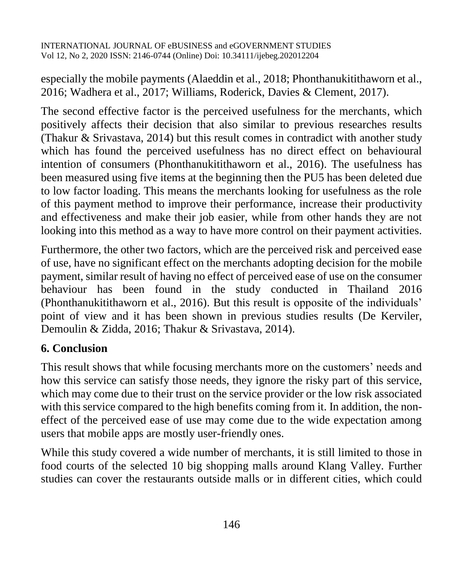especially the mobile payments (Alaeddin et al., 2018; Phonthanukitithaworn et al., 2016; Wadhera et al., 2017; Williams, Roderick, Davies & Clement, 2017).

The second effective factor is the perceived usefulness for the merchants, which positively affects their decision that also similar to previous researches results (Thakur & Srivastava, 2014) but this result comes in contradict with another study which has found the perceived usefulness has no direct effect on behavioural intention of consumers (Phonthanukitithaworn et al., 2016). The usefulness has been measured using five items at the beginning then the PU5 has been deleted due to low factor loading. This means the merchants looking for usefulness as the role of this payment method to improve their performance, increase their productivity and effectiveness and make their job easier, while from other hands they are not looking into this method as a way to have more control on their payment activities.

Furthermore, the other two factors, which are the perceived risk and perceived ease of use, have no significant effect on the merchants adopting decision for the mobile payment, similar result of having no effect of perceived ease of use on the consumer behaviour has been found in the study conducted in Thailand 2016 (Phonthanukitithaworn et al., 2016). But this result is opposite of the individuals' point of view and it has been shown in previous studies results (De Kerviler, Demoulin & Zidda, 2016; Thakur & Srivastava, 2014).

## **6. Conclusion**

This result shows that while focusing merchants more on the customers' needs and how this service can satisfy those needs, they ignore the risky part of this service, which may come due to their trust on the service provider or the low risk associated with this service compared to the high benefits coming from it. In addition, the noneffect of the perceived ease of use may come due to the wide expectation among users that mobile apps are mostly user-friendly ones.

While this study covered a wide number of merchants, it is still limited to those in food courts of the selected 10 big shopping malls around Klang Valley. Further studies can cover the restaurants outside malls or in different cities, which could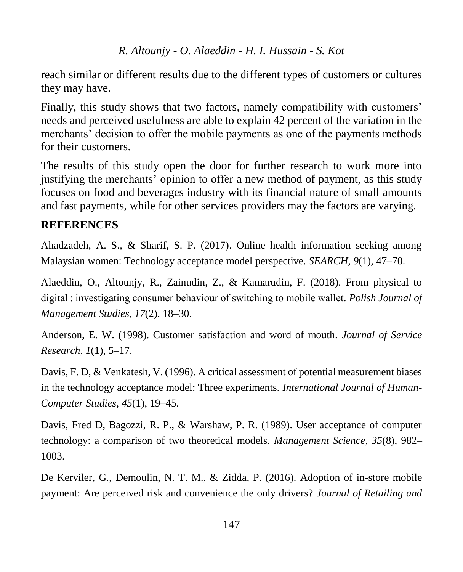reach similar or different results due to the different types of customers or cultures they may have.

Finally, this study shows that two factors, namely compatibility with customers' needs and perceived usefulness are able to explain 42 percent of the variation in the merchants' decision to offer the mobile payments as one of the payments methods for their customers.

The results of this study open the door for further research to work more into justifying the merchants' opinion to offer a new method of payment, as this study focuses on food and beverages industry with its financial nature of small amounts and fast payments, while for other services providers may the factors are varying.

## **REFERENCES**

Ahadzadeh, A. S., & Sharif, S. P. (2017). Online health information seeking among Malaysian women: Technology acceptance model perspective. *SEARCH*, *9*(1), 47–70.

Alaeddin, O., Altounjy, R., Zainudin, Z., & Kamarudin, F. (2018). From physical to digital : investigating consumer behaviour of switching to mobile wallet. *Polish Journal of Management Studies*, *17*(2), 18–30.

Anderson, E. W. (1998). Customer satisfaction and word of mouth. *Journal of Service Research*, *1*(1), 5–17.

Davis, F. D, & Venkatesh, V. (1996). A critical assessment of potential measurement biases in the technology acceptance model: Three experiments. *International Journal of Human-Computer Studies*, *45*(1), 19–45.

Davis, Fred D, Bagozzi, R. P., & Warshaw, P. R. (1989). User acceptance of computer technology: a comparison of two theoretical models. *Management Science*, *35*(8), 982– 1003.

De Kerviler, G., Demoulin, N. T. M., & Zidda, P. (2016). Adoption of in-store mobile payment: Are perceived risk and convenience the only drivers? *Journal of Retailing and*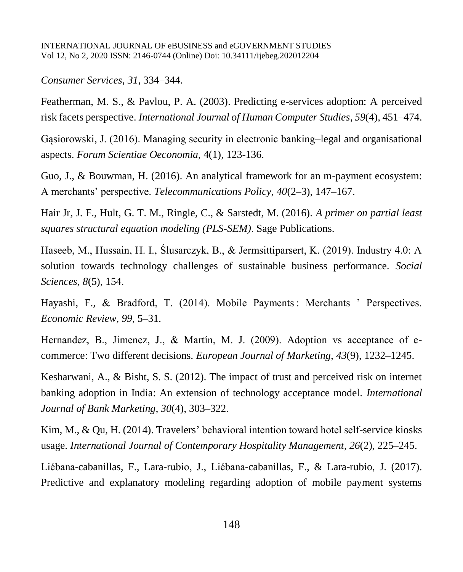#### *Consumer Services*, *31*, 334–344.

Featherman, M. S., & Pavlou, P. A. (2003). Predicting e-services adoption: A perceived risk facets perspective. *International Journal of Human Computer Studies*, *59*(4), 451–474.

Gąsiorowski, J. (2016). Managing security in electronic banking–legal and organisational aspects. *Forum Scientiae Oeconomia*, 4(1), 123-136.

Guo, J., & Bouwman, H. (2016). An analytical framework for an m-payment ecosystem: A merchants' perspective. *Telecommunications Policy*, *40*(2–3), 147–167.

Hair Jr, J. F., Hult, G. T. M., Ringle, C., & Sarstedt, M. (2016). *A primer on partial least squares structural equation modeling (PLS-SEM)*. Sage Publications.

Haseeb, M., Hussain, H. I., Ślusarczyk, B., & Jermsittiparsert, K. (2019). Industry 4.0: A solution towards technology challenges of sustainable business performance. *Social Sciences*, *8*(5), 154.

Hayashi, F., & Bradford, T. (2014). Mobile Payments : Merchants ' Perspectives. *Economic Review*, *99*, 5–31.

Hernandez, B., Jimenez, J., & Martín, M. J. (2009). Adoption vs acceptance of ecommerce: Two different decisions. *European Journal of Marketing*, *43*(9), 1232–1245.

Kesharwani, A., & Bisht, S. S. (2012). The impact of trust and perceived risk on internet banking adoption in India: An extension of technology acceptance model. *International Journal of Bank Marketing*, *30*(4), 303–322.

Kim, M., & Qu, H. (2014). Travelers' behavioral intention toward hotel self-service kiosks usage. *International Journal of Contemporary Hospitality Management*, *26*(2), 225–245.

Liébana-cabanillas, F., Lara-rubio, J., Liébana-cabanillas, F., & Lara-rubio, J. (2017). Predictive and explanatory modeling regarding adoption of mobile payment systems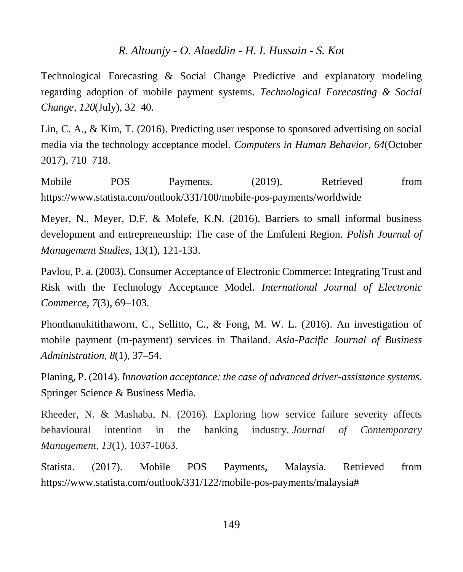Technological Forecasting & Social Change Predictive and explanatory modeling regarding adoption of mobile payment systems. *Technological Forecasting & Social Change*, *120*(July), 32–40.

Lin, C. A., & Kim, T. (2016). Predicting user response to sponsored advertising on social media via the technology acceptance model. *Computers in Human Behavior*, *64*(October 2017), 710–718.

Mobile POS Payments. (2019). Retrieved from https://www.statista.com/outlook/331/100/mobile-pos-payments/worldwide

Meyer, N., Meyer, D.F. & Molefe, K.N. (2016). Barriers to small informal business development and entrepreneurship: The case of the Emfuleni Region. *Polish Journal of Management Studies*, 13(1), 121-133.

Pavlou, P. a. (2003). Consumer Acceptance of Electronic Commerce: Integrating Trust and Risk with the Technology Acceptance Model. *International Journal of Electronic Commerce*, *7*(3), 69–103.

Phonthanukitithaworn, C., Sellitto, C., & Fong, M. W. L. (2016). An investigation of mobile payment (m-payment) services in Thailand. *Asia-Pacific Journal of Business Administration*, *8*(1), 37–54.

Planing, P. (2014). *Innovation acceptance: the case of advanced driver-assistance systems*. Springer Science & Business Media.

Rheeder, N. & Mashaba, N. (2016). Exploring how service failure severity affects behavioural intention in the banking industry. *Journal of Contemporary Management*, *13*(1), 1037-1063.

Statista. (2017). Mobile POS Payments, Malaysia. Retrieved from https://www.statista.com/outlook/331/122/mobile-pos-payments/malaysia#